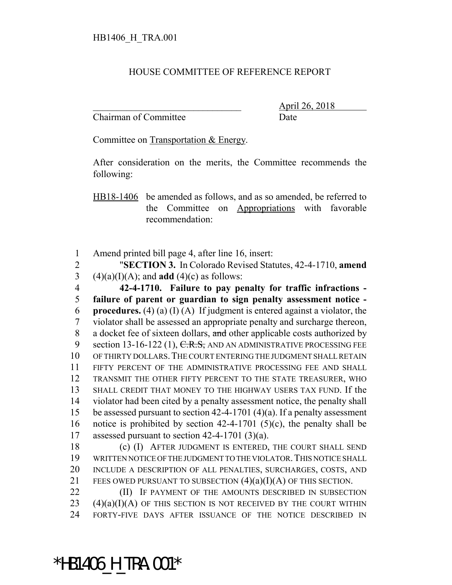## HOUSE COMMITTEE OF REFERENCE REPORT

Chairman of Committee Date

\_\_\_\_\_\_\_\_\_\_\_\_\_\_\_\_\_\_\_\_\_\_\_\_\_\_\_\_\_\_\_ April 26, 2018

Committee on Transportation & Energy.

After consideration on the merits, the Committee recommends the following:

HB18-1406 be amended as follows, and as so amended, be referred to the Committee on Appropriations with favorable recommendation:

1 Amend printed bill page 4, after line 16, insert:

2 "**SECTION 3.** In Colorado Revised Statutes, 42-4-1710, **amend** 3 (4)(a)(I)(A); and **add** (4)(c) as follows:

 **42-4-1710. Failure to pay penalty for traffic infractions - failure of parent or guardian to sign penalty assessment notice - procedures.** (4) (a) (I) (A) If judgment is entered against a violator, the violator shall be assessed an appropriate penalty and surcharge thereon, 8 a docket fee of sixteen dollars, and other applicable costs authorized by 9 section 13-16-122 (1), C.R.S., AND AN ADMINISTRATIVE PROCESSING FEE OF THIRTY DOLLARS.THE COURT ENTERING THE JUDGMENT SHALL RETAIN FIFTY PERCENT OF THE ADMINISTRATIVE PROCESSING FEE AND SHALL TRANSMIT THE OTHER FIFTY PERCENT TO THE STATE TREASURER, WHO SHALL CREDIT THAT MONEY TO THE HIGHWAY USERS TAX FUND. If the violator had been cited by a penalty assessment notice, the penalty shall be assessed pursuant to section 42-4-1701 (4)(a). If a penalty assessment notice is prohibited by section 42-4-1701 (5)(c), the penalty shall be assessed pursuant to section 42-4-1701 (3)(a).

 (c) (I) AFTER JUDGMENT IS ENTERED, THE COURT SHALL SEND WRITTEN NOTICE OF THE JUDGMENT TO THE VIOLATOR.THIS NOTICE SHALL INCLUDE A DESCRIPTION OF ALL PENALTIES, SURCHARGES, COSTS, AND 21 FEES OWED PURSUANT TO SUBSECTION  $(4)(a)(I)(A)$  OF THIS SECTION.

22 **(II)** IF PAYMENT OF THE AMOUNTS DESCRIBED IN SUBSECTION  $23$  (4)(a)(I)(A) OF THIS SECTION IS NOT RECEIVED BY THE COURT WITHIN 24 FORTY-FIVE DAYS AFTER ISSUANCE OF THE NOTICE DESCRIBED IN

\*HB1406\_H\_TRA.001\*